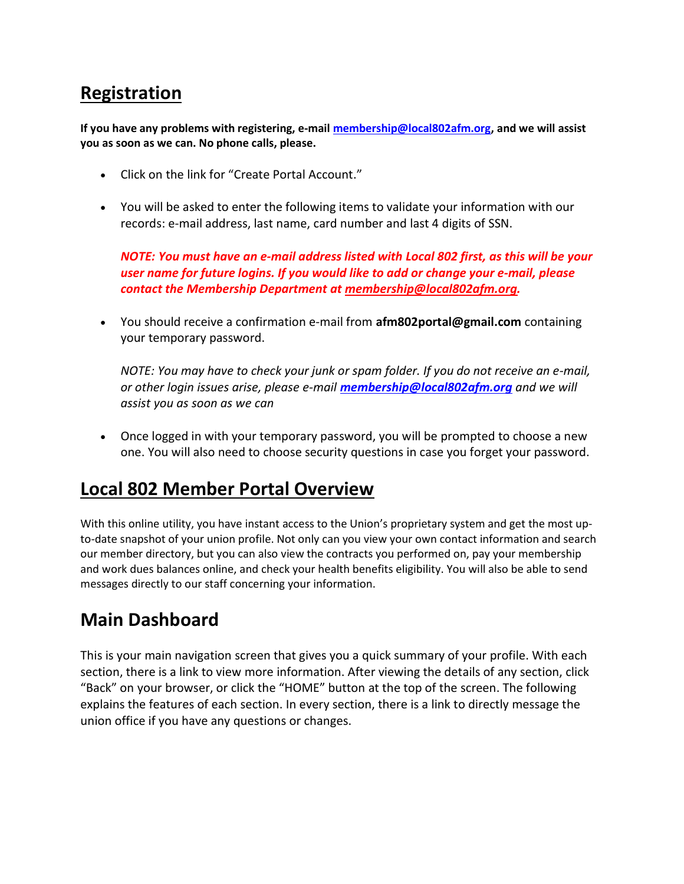## Registration

If you have any problems with registering, e-mail membership@local802afm.org, and we will assist you as soon as we can. No phone calls, please.

- Click on the link for "Create Portal Account."
- You will be asked to enter the following items to validate your information with our records: e-mail address, last name, card number and last 4 digits of SSN.

NOTE: You must have an e-mail address listed with Local 802 first, as this will be your user name for future logins. If you would like to add or change your e-mail, please contact the Membership Department at membership@local802afm.org.

• You should receive a confirmation e-mail from **afm802portal@gmail.com** containing your temporary password.

NOTE: You may have to check your junk or spam folder. If you do not receive an e-mail, or other login issues arise, please e-mail **membership@local802afm.org** and we will assist you as soon as we can

 Once logged in with your temporary password, you will be prompted to choose a new one. You will also need to choose security questions in case you forget your password.

#### Local 802 Member Portal Overview

With this online utility, you have instant access to the Union's proprietary system and get the most upto-date snapshot of your union profile. Not only can you view your own contact information and search our member directory, but you can also view the contracts you performed on, pay your membership and work dues balances online, and check your health benefits eligibility. You will also be able to send messages directly to our staff concerning your information.

## Main Dashboard

This is your main navigation screen that gives you a quick summary of your profile. With each section, there is a link to view more information. After viewing the details of any section, click "Back" on your browser, or click the "HOME" button at the top of the screen. The following explains the features of each section. In every section, there is a link to directly message the union office if you have any questions or changes.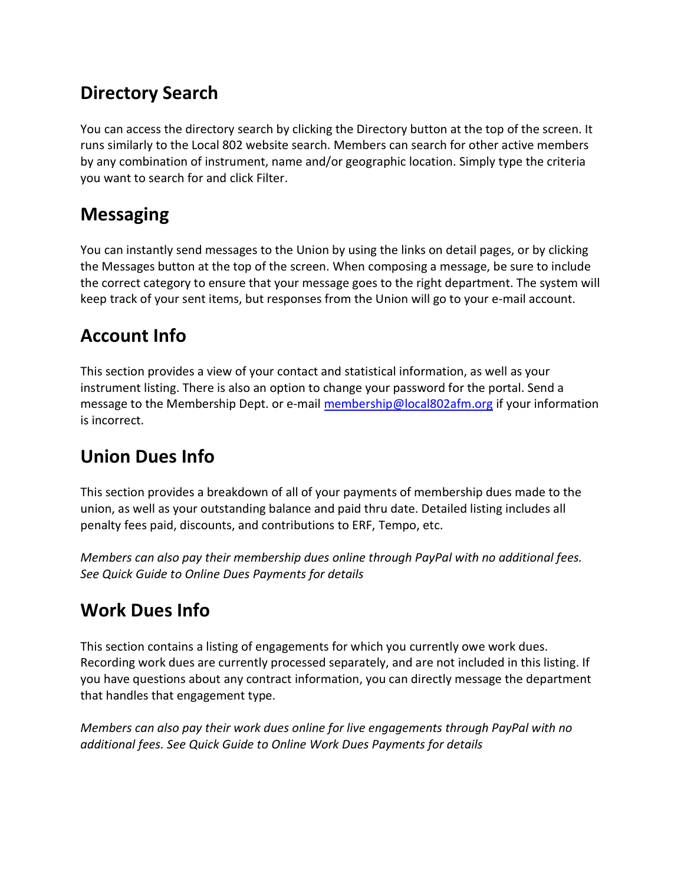## Directory Search

You can access the directory search by clicking the Directory button at the top of the screen. It runs similarly to the Local 802 website search. Members can search for other active members by any combination of instrument, name and/or geographic location. Simply type the criteria you want to search for and click Filter.

# Messaging

You can instantly send messages to the Union by using the links on detail pages, or by clicking the Messages button at the top of the screen. When composing a message, be sure to include the correct category to ensure that your message goes to the right department. The system will keep track of your sent items, but responses from the Union will go to your e-mail account.

# Account Info

This section provides a view of your contact and statistical information, as well as your instrument listing. There is also an option to change your password for the portal. Send a message to the Membership Dept. or e-mail membership@local802afm.org if your information is incorrect.

## Union Dues Info

This section provides a breakdown of all of your payments of membership dues made to the union, as well as your outstanding balance and paid thru date. Detailed listing includes all penalty fees paid, discounts, and contributions to ERF, Tempo, etc.

Members can also pay their membership dues online through PayPal with no additional fees. See Quick Guide to Online Dues Payments for details

## Work Dues Info

This section contains a listing of engagements for which you currently owe work dues. Recording work dues are currently processed separately, and are not included in this listing. If you have questions about any contract information, you can directly message the department that handles that engagement type.

Members can also pay their work dues online for live engagements through PayPal with no additional fees. See Quick Guide to Online Work Dues Payments for details